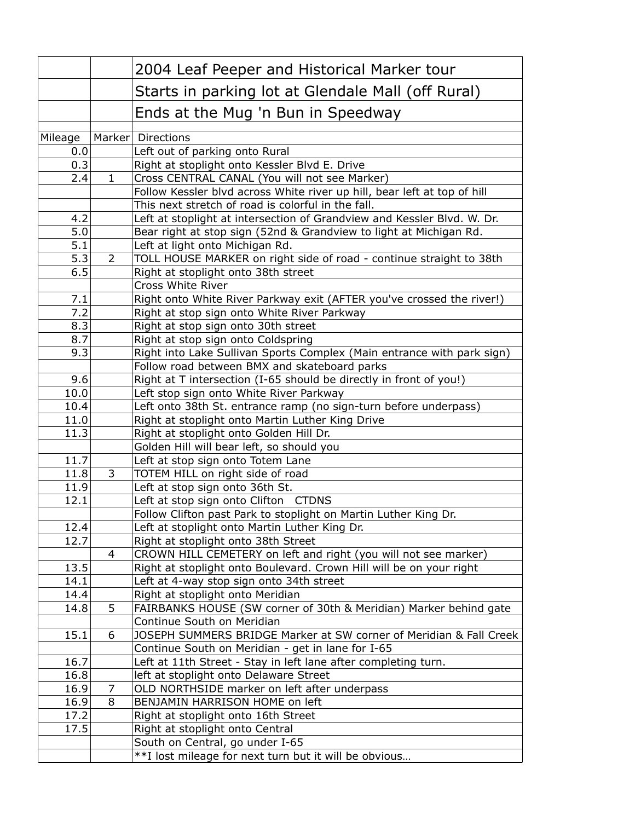|         |                | 2004 Leaf Peeper and Historical Marker tour                                                                      |
|---------|----------------|------------------------------------------------------------------------------------------------------------------|
|         |                | Starts in parking lot at Glendale Mall (off Rural)                                                               |
|         |                | Ends at the Mug 'n Bun in Speedway                                                                               |
| Mileage |                | Marker Directions                                                                                                |
| 0.0     |                | Left out of parking onto Rural                                                                                   |
| 0.3     |                | Right at stoplight onto Kessler Blvd E. Drive                                                                    |
| 2.4     | $\mathbf{1}$   | Cross CENTRAL CANAL (You will not see Marker)                                                                    |
|         |                | Follow Kessler blvd across White river up hill, bear left at top of hill                                         |
|         |                | This next stretch of road is colorful in the fall.                                                               |
| 4.2     |                | Left at stoplight at intersection of Grandview and Kessler Blvd. W. Dr.                                          |
| 5.0     |                | Bear right at stop sign (52nd & Grandview to light at Michigan Rd.                                               |
| 5.1     |                | Left at light onto Michigan Rd.                                                                                  |
| 5.3     | $\overline{2}$ | TOLL HOUSE MARKER on right side of road - continue straight to 38th                                              |
| 6.5     |                | Right at stoplight onto 38th street                                                                              |
|         |                | Cross White River                                                                                                |
| 7.1     |                | Right onto White River Parkway exit (AFTER you've crossed the river!)                                            |
| 7.2     |                | Right at stop sign onto White River Parkway                                                                      |
| 8.3     |                | Right at stop sign onto 30th street                                                                              |
| 8.7     |                | Right at stop sign onto Coldspring                                                                               |
| 9.3     |                | Right into Lake Sullivan Sports Complex (Main entrance with park sign)                                           |
|         |                | Follow road between BMX and skateboard parks                                                                     |
| 9.6     |                | Right at T intersection (I-65 should be directly in front of you!)                                               |
| 10.0    |                | Left stop sign onto White River Parkway                                                                          |
| 10.4    |                | Left onto 38th St. entrance ramp (no sign-turn before underpass)                                                 |
| 11.0    |                | Right at stoplight onto Martin Luther King Drive                                                                 |
| 11.3    |                | Right at stoplight onto Golden Hill Dr.                                                                          |
|         |                | Golden Hill will bear left, so should you                                                                        |
| 11.7    |                | Left at stop sign onto Totem Lane                                                                                |
| 11.8    | 3              | TOTEM HILL on right side of road                                                                                 |
| 11.9    |                | Left at stop sign onto 36th St.                                                                                  |
| 12.1    |                | Left at stop sign onto Clifton CTDNS                                                                             |
| 12.4    |                | Follow Clifton past Park to stoplight on Martin Luther King Dr.<br>Left at stoplight onto Martin Luther King Dr. |
| 12.7    |                | Right at stoplight onto 38th Street                                                                              |
|         | 4              | CROWN HILL CEMETERY on left and right (you will not see marker)                                                  |
| 13.5    |                | Right at stoplight onto Boulevard. Crown Hill will be on your right                                              |
| 14.1    |                | Left at 4-way stop sign onto 34th street                                                                         |
| 14.4    |                | Right at stoplight onto Meridian                                                                                 |
| 14.8    | 5              | FAIRBANKS HOUSE (SW corner of 30th & Meridian) Marker behind gate                                                |
|         |                | Continue South on Meridian                                                                                       |
| 15.1    | 6              | JOSEPH SUMMERS BRIDGE Marker at SW corner of Meridian & Fall Creek                                               |
|         |                | Continue South on Meridian - get in lane for I-65                                                                |
| 16.7    |                | Left at 11th Street - Stay in left lane after completing turn.                                                   |
| 16.8    |                | left at stoplight onto Delaware Street                                                                           |
| 16.9    | 7              | OLD NORTHSIDE marker on left after underpass                                                                     |
| 16.9    | 8              | BENJAMIN HARRISON HOME on left                                                                                   |
| 17.2    |                | Right at stoplight onto 16th Street                                                                              |
| 17.5    |                | Right at stoplight onto Central                                                                                  |
|         |                | South on Central, go under I-65                                                                                  |
|         |                | **I lost mileage for next turn but it will be obvious                                                            |